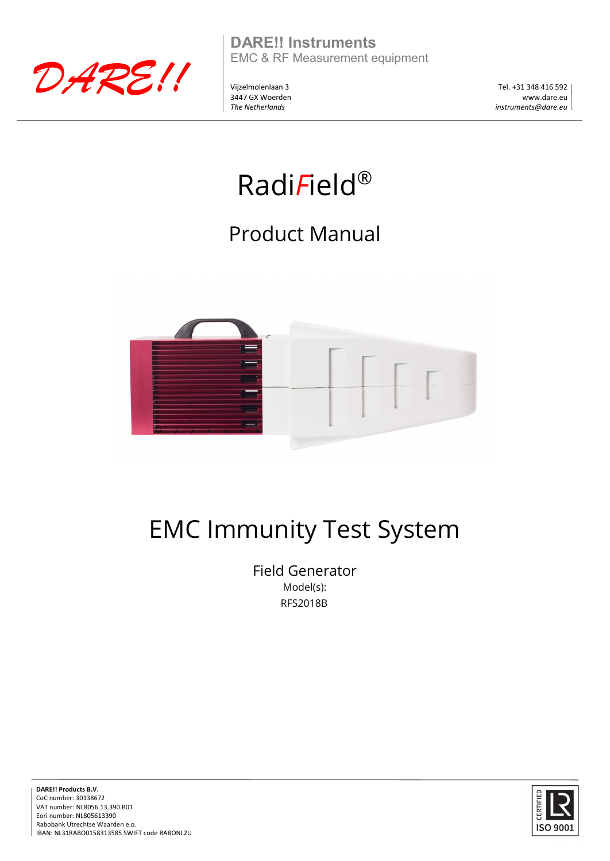

**DARE!! Instruments** EMC & RF Measurement equipment

Vijzelmolenlaan 3 3447 GX Woerden *The Netherlands*

Tel. +31 348 416 592 www.dare.eu *instruments@dare.eu*

# Radi*F*ield®

# Product Manual



# EMC Immunity Test System

Field Generator Model(s): RFS2018B



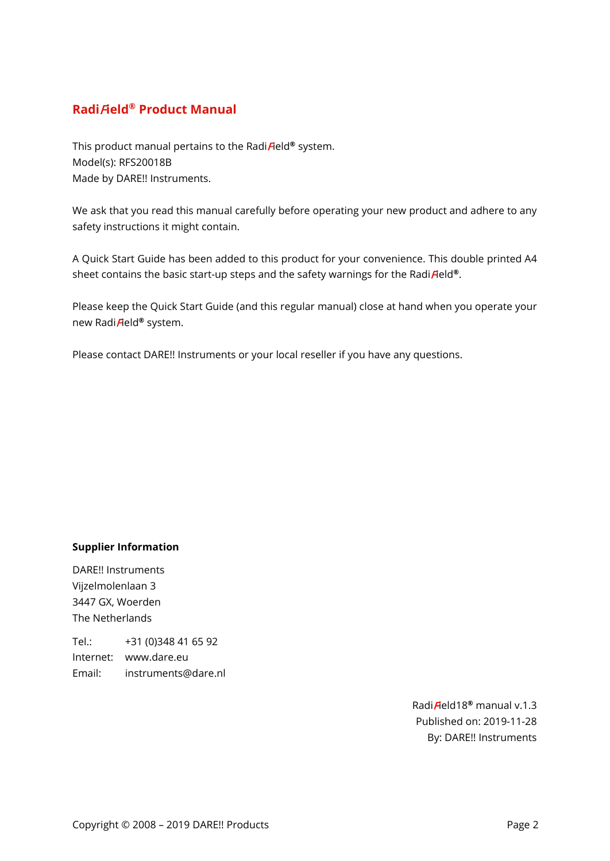# **Radi**F**ield® Product Manual**

This product manual pertains to the Radi**A**eld<sup>®</sup> system. Model(s): RFS20018B Made by DARE!! Instruments.

We ask that you read this manual carefully before operating your new product and adhere to any safety instructions it might contain.

A Quick Start Guide has been added to this product for your convenience. This double printed A4 sheet contains the basic start-up steps and the safety warnings for the Radi*Field®*.

Please keep the Quick Start Guide (and this regular manual) close at hand when you operate your new RadiField**®** system.

Please contact DARE!! Instruments or your local reseller if you have any questions.

#### **Supplier Information**

DARE!! Instruments Vijzelmolenlaan 3 3447 GX, Woerden The Netherlands

Tel.: +31 (0)348 41 65 92 Internet: www.dare.eu Email: instruments@dare.nl

> RadiField18**®** manual v.1.3 Published on: 2019-11-28 By: DARE!! Instruments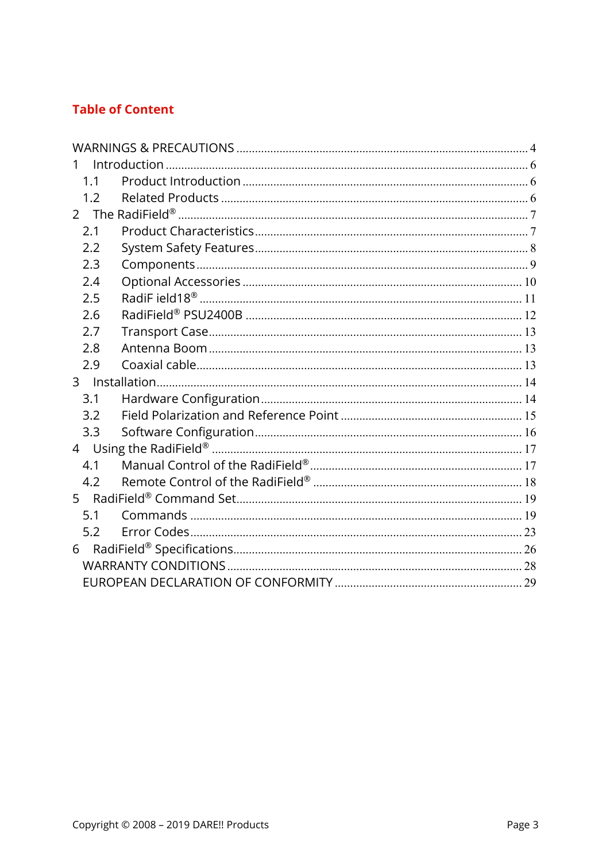# **Table of Content**

| 1.1            |  |  |  |  |
|----------------|--|--|--|--|
| 1.2            |  |  |  |  |
| $\overline{2}$ |  |  |  |  |
| 2.1            |  |  |  |  |
| 2.2            |  |  |  |  |
| 2.3            |  |  |  |  |
| 2.4            |  |  |  |  |
| 2.5            |  |  |  |  |
| 2.6            |  |  |  |  |
| 2.7            |  |  |  |  |
| 2.8            |  |  |  |  |
| 2.9            |  |  |  |  |
|                |  |  |  |  |
| 3.1            |  |  |  |  |
| 3.2            |  |  |  |  |
| 3.3            |  |  |  |  |
|                |  |  |  |  |
| 4.1            |  |  |  |  |
| 4.2            |  |  |  |  |
|                |  |  |  |  |
| 5.1            |  |  |  |  |
| 5.2            |  |  |  |  |
|                |  |  |  |  |
|                |  |  |  |  |
|                |  |  |  |  |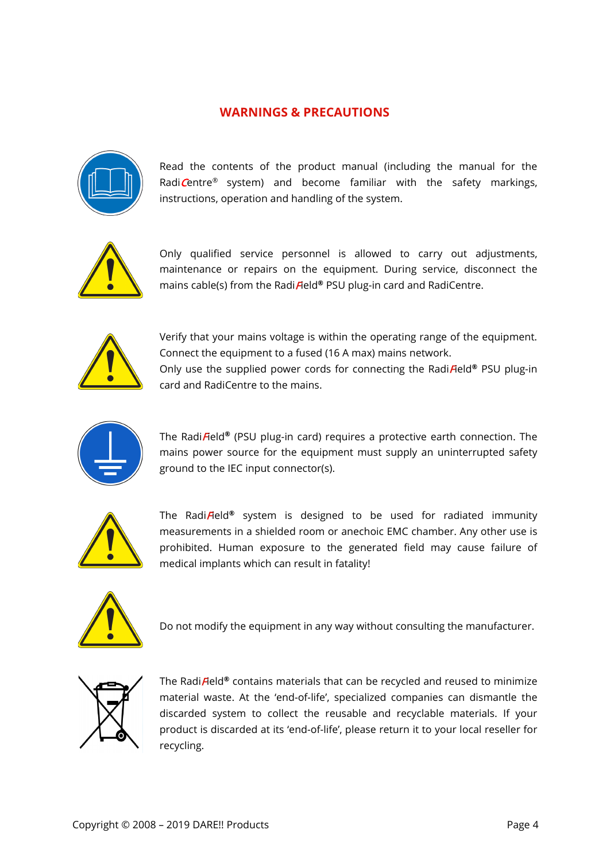# **WARNINGS & PRECAUTIONS**

<span id="page-3-0"></span>

Read the contents of the product manual (including the manual for the RadiCentre<sup>®</sup> system) and become familiar with the safety markings, instructions, operation and handling of the system.



Only qualified service personnel is allowed to carry out adjustments, maintenance or repairs on the equipment. During service, disconnect the mains cable(s) from the RadiField**®** PSU plug-in card and RadiCentre.



Verify that your mains voltage is within the operating range of the equipment. Connect the equipment to a fused (16 A max) mains network. Only use the supplied power cords for connecting the RadiField**®** PSU plug-in card and RadiCentre to the mains.



The RadiField**®** (PSU plug-in card) requires a protective earth connection. The mains power source for the equipment must supply an uninterrupted safety ground to the IEC input connector(s).



The RadiField**®** system is designed to be used for radiated immunity measurements in a shielded room or anechoic EMC chamber. Any other use is prohibited. Human exposure to the generated field may cause failure of medical implants which can result in fatality!



Do not modify the equipment in any way without consulting the manufacturer.



The RadiField**®** contains materials that can be recycled and reused to minimize material waste. At the 'end-of-life', specialized companies can dismantle the discarded system to collect the reusable and recyclable materials. If your product is discarded at its 'end-of-life', please return it to your local reseller for recycling.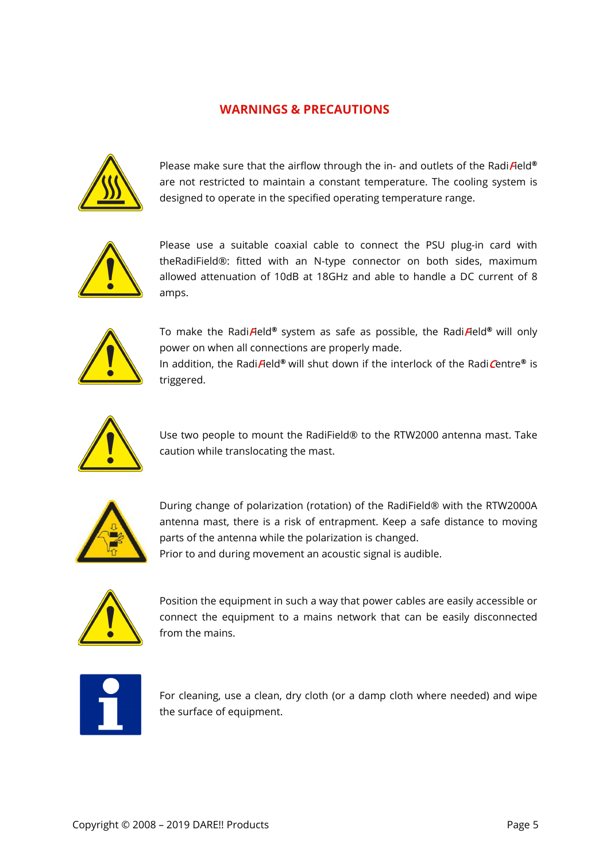# **WARNINGS & PRECAUTIONS**



Please make sure that the airflow through the in- and outlets of the RadiField**®** are not restricted to maintain a constant temperature. The cooling system is designed to operate in the specified operating temperature range.



Please use a suitable coaxial cable to connect the PSU plug-in card with theRadiField®: fitted with an N-type connector on both sides, maximum allowed attenuation of 10dB at 18GHz and able to handle a DC current of 8 amps.



To make the RadiField**®** system as safe as possible, the RadiField**®** will only power on when all connections are properly made. In addition, the Radi $\overline{H}$ eld<sup>®</sup> will shut down if the interlock of the RadiCentre<sup>®</sup> is triggered.



Use two people to mount the RadiField® to the RTW2000 antenna mast. Take caution while translocating the mast.



During change of polarization (rotation) of the RadiField® with the RTW2000A antenna mast, there is a risk of entrapment. Keep a safe distance to moving parts of the antenna while the polarization is changed.

Prior to and during movement an acoustic signal is audible.



Position the equipment in such a way that power cables are easily accessible or connect the equipment to a mains network that can be easily disconnected from the mains.



For cleaning, use a clean, dry cloth (or a damp cloth where needed) and wipe the surface of equipment.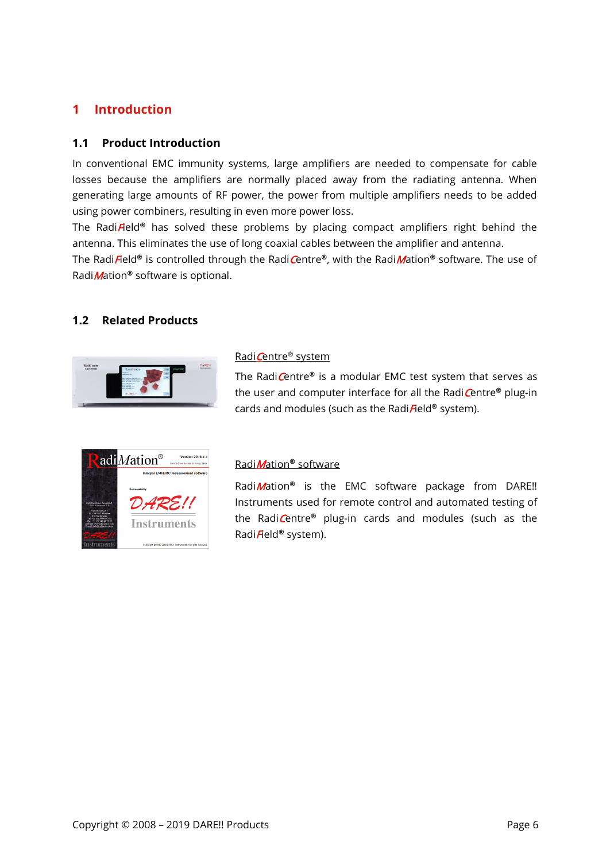# <span id="page-5-0"></span>**1 Introduction**

#### <span id="page-5-1"></span>**1.1 Product Introduction**

In conventional EMC immunity systems, large amplifiers are needed to compensate for cable losses because the amplifiers are normally placed away from the radiating antenna. When generating large amounts of RF power, the power from multiple amplifiers needs to be added using power combiners, resulting in even more power loss.

The Radi**Field<sup>®</sup>** has solved these problems by placing compact amplifiers right behind the antenna. This eliminates the use of long coaxial cables between the amplifier and antenna.

The Radi Field<sup>®</sup> is controlled through the Radi Centre<sup>®</sup>, with the Radi Mation<sup>®</sup> software. The use of RadiMation**®** software is optional.

#### <span id="page-5-2"></span>**1.2 Related Products**



#### Radi Centre® system

The RadiCentre**®** is a modular EMC test system that serves as the user and computer interface for all the RadiCentre**®** plug-in cards and modules (such as the RadiField**®** system).



#### RadiMation**®** software

RadiMation**®** is the EMC software package from DARE!! Instruments used for remote control and automated testing of the RadiCentre**®** plug-in cards and modules (such as the RadiField**®** system).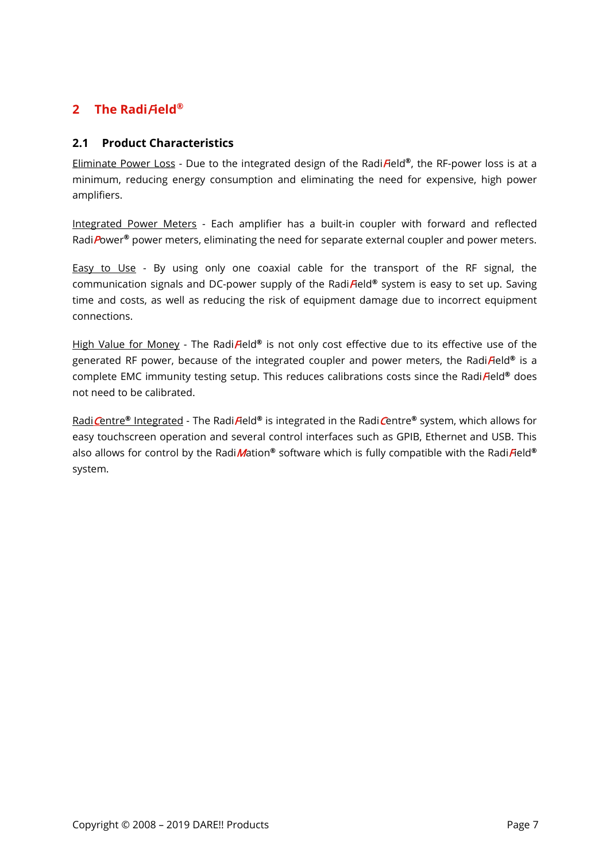# <span id="page-6-0"></span>2 **The Radi**Field<sup>®</sup>

#### <span id="page-6-1"></span>**2.1 Product Characteristics**

Eliminate Power Loss - Due to the integrated design of the RadiField**®**, the RF-power loss is at a minimum, reducing energy consumption and eliminating the need for expensive, high power amplifiers.

Integrated Power Meters - Each amplifier has a built-in coupler with forward and reflected RadiPower**®** power meters, eliminating the need for separate external coupler and power meters.

Easy to Use - By using only one coaxial cable for the transport of the RF signal, the communication signals and DC-power supply of the RadiField**®** system is easy to set up. Saving time and costs, as well as reducing the risk of equipment damage due to incorrect equipment connections.

High Value for Money - The Radi*Field®* is not only cost effective due to its effective use of the generated RF power, because of the integrated coupler and power meters, the RadiField**®** is a complete EMC immunity testing setup. This reduces calibrations costs since the Radi*Field®* does not need to be calibrated.

RadiCentre**®** Integrated - The RadiField**®** is integrated in the RadiCentre**®** system, which allows for easy touchscreen operation and several control interfaces such as GPIB, Ethernet and USB. This also allows for control by the Radi Mation<sup>®</sup> software which is fully compatible with the Radi Field<sup>®</sup> system.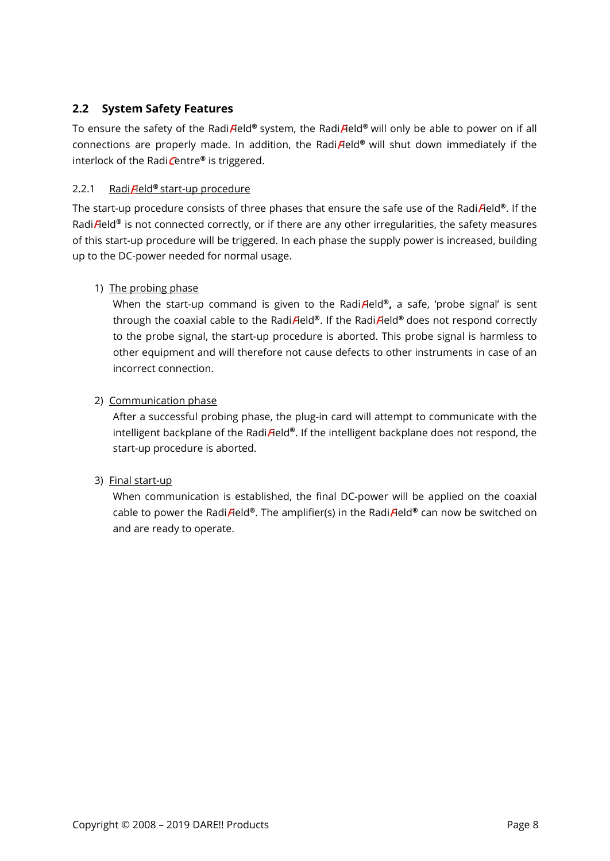## <span id="page-7-0"></span>**2.2 System Safety Features**

To ensure the safety of the RadiField**®** system, the RadiField**®** will only be able to power on if all connections are properly made. In addition, the RadiField**®** will shut down immediately if the interlock of the Radi**C**entre<sup>®</sup> is triggered.

#### 2.2.1 RadiField**®** start-up procedure

The start-up procedure consists of three phases that ensure the safe use of the RadiField**®**. If the RadiField**®** is not connected correctly, or if there are any other irregularities, the safety measures of this start-up procedure will be triggered. In each phase the supply power is increased, building up to the DC-power needed for normal usage.

#### 1) The probing phase

When the start-up command is given to the Radi*Field®*, a safe, 'probe signal' is sent through the coaxial cable to the RadiField**®**. If the RadiField**®** does not respond correctly to the probe signal, the start-up procedure is aborted. This probe signal is harmless to other equipment and will therefore not cause defects to other instruments in case of an incorrect connection.

#### 2) Communication phase

After a successful probing phase, the plug-in card will attempt to communicate with the intelligent backplane of the Radi*Field®*. If the intelligent backplane does not respond, the start-up procedure is aborted.

#### 3) Final start-up

When communication is established, the final DC-power will be applied on the coaxial cable to power the RadiField**®**. The amplifier(s) in the RadiField**®** can now be switched on and are ready to operate.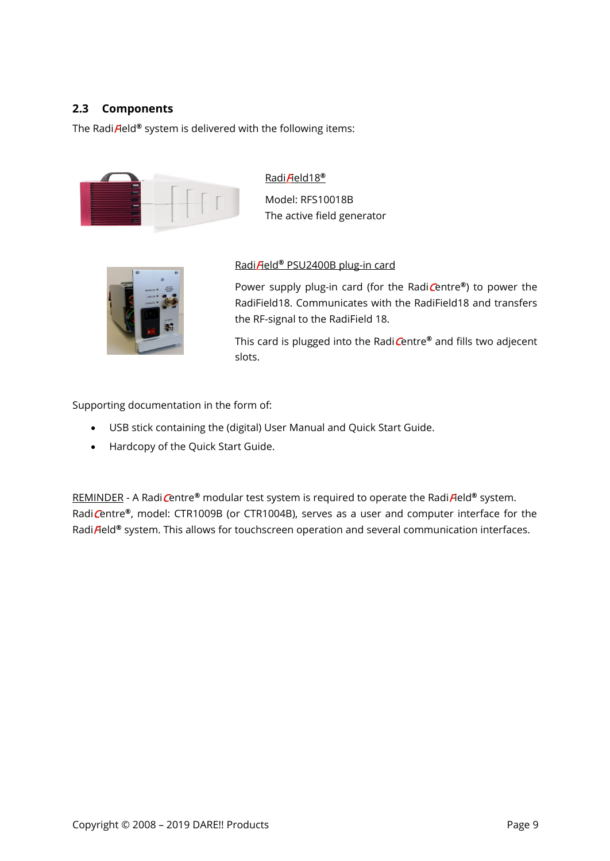# <span id="page-8-0"></span>**2.3 Components**

The Radi Field<sup>®</sup> system is delivered with the following items:



RadiField18**®** Model: RFS10018B The active field generator



#### RadiField**®** PSU2400B plug-in card

Power supply plug-in card (for the Radi**C**entre®) to power the RadiField18. Communicates with the RadiField18 and transfers the RF-signal to the RadiField 18.

This card is plugged into the RadiCentre**®** and fills two adjecent slots.

Supporting documentation in the form of:

- USB stick containing the (digital) User Manual and Quick Start Guide.
- Hardcopy of the Quick Start Guide.

REMINDER - A RadiCentre<sup>®</sup> modular test system is required to operate the RadiField<sup>®</sup> system. RadiCentre**®**, model: CTR1009B (or CTR1004B), serves as a user and computer interface for the Radi Field<sup>®</sup> system. This allows for touchscreen operation and several communication interfaces.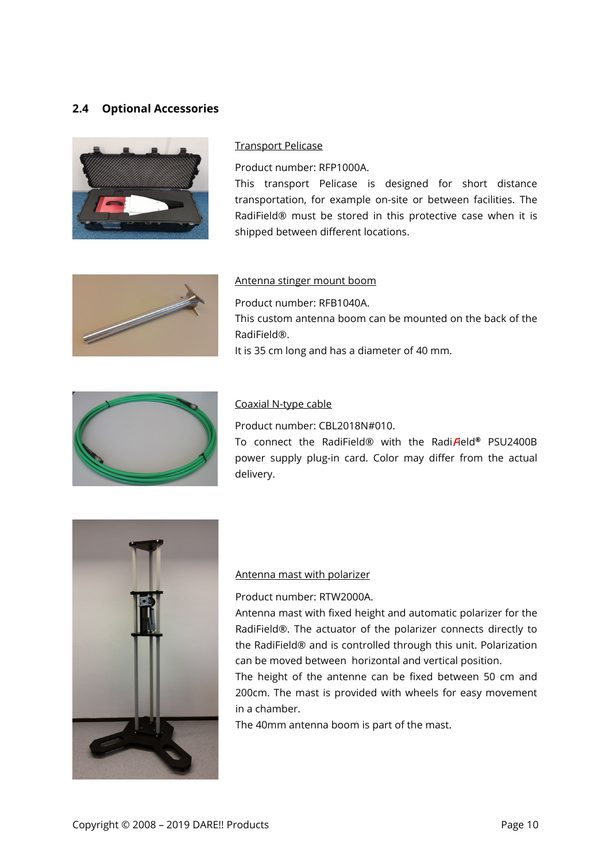# <span id="page-9-0"></span>**2.4 Optional Accessories**



#### Transport Pelicase

Product number: RFP1000A.

This transport Pelicase is designed for short distance transportation, for example on-site or between facilities. The RadiField® must be stored in this protective case when it is shipped between different locations.



#### Antenna stinger mount boom

Product number: RFB1040A.

This custom antenna boom can be mounted on the back of the RadiField®.

It is 35 cm long and has a diameter of 40 mm.



#### Coaxial N-type cable

Product number: CBL2018N#010.

To connect the RadiField® with the RadiField**®** PSU2400B power supply plug-in card. Color may differ from the actual delivery.



#### Antenna mast with polarizer

Product number: RTW2000A.

Antenna mast with fixed height and automatic polarizer for the RadiField®. The actuator of the polarizer connects directly to the RadiField® and is controlled through this unit. Polarization can be moved between horizontal and vertical position.

The height of the antenne can be fixed between 50 cm and 200cm. The mast is provided with wheels for easy movement in a chamber.

The 40mm antenna boom is part of the mast.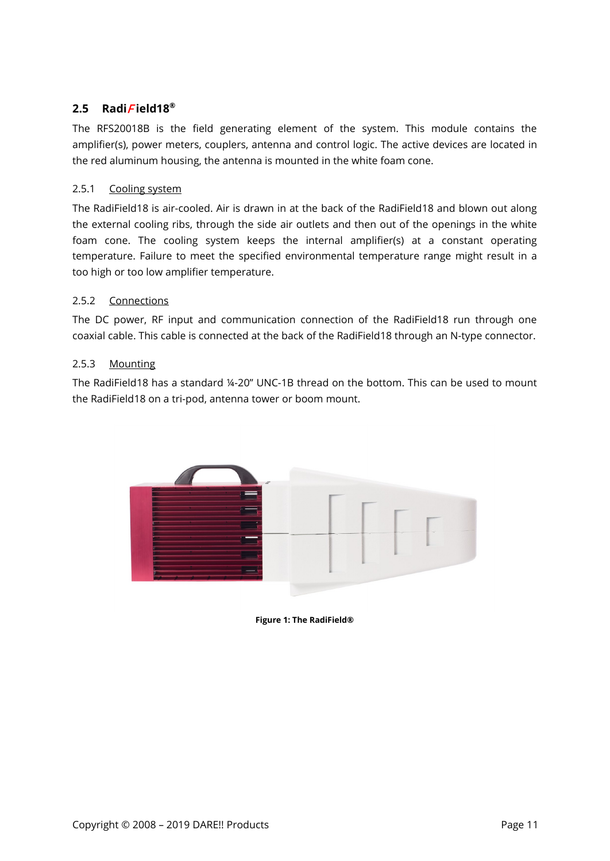# <span id="page-10-0"></span>**2.5 Radi**F **ield18®**

The RFS20018B is the field generating element of the system. This module contains the amplifier(s), power meters, couplers, antenna and control logic. The active devices are located in the red aluminum housing, the antenna is mounted in the white foam cone.

#### 2.5.1 Cooling system

The RadiField18 is air-cooled. Air is drawn in at the back of the RadiField18 and blown out along the external cooling ribs, through the side air outlets and then out of the openings in the white foam cone. The cooling system keeps the internal amplifier(s) at a constant operating temperature. Failure to meet the specified environmental temperature range might result in a too high or too low amplifier temperature.

#### 2.5.2 Connections

The DC power, RF input and communication connection of the RadiField18 run through one coaxial cable. This cable is connected at the back of the RadiField18 through an N-type connector.

#### 2.5.3 Mounting

The RadiField18 has a standard ¼-20" UNC-1B thread on the bottom. This can be used to mount the RadiField18 on a tri-pod, antenna tower or boom mount.



**Figure 1: The RadiField®**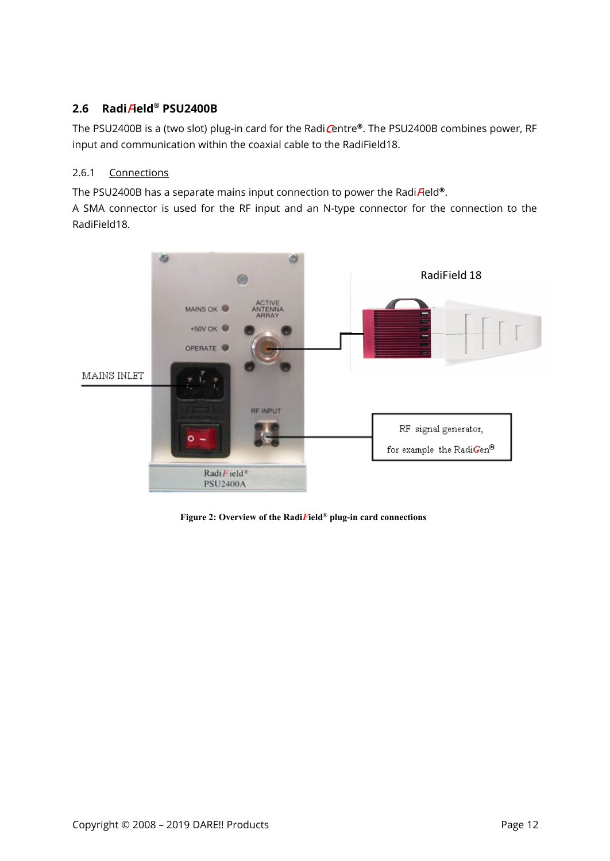# <span id="page-11-0"></span>**2.6 Radi**F**ield® PSU2400B**

The PSU2400B is a (two slot) plug-in card for the RadiCentre**®**. The PSU2400B combines power, RF input and communication within the coaxial cable to the RadiField18.

#### 2.6.1 Connections

The PSU2400B has a separate mains input connection to power the Radi*Field®*.

A SMA connector is used for the RF input and an N-type connector for the connection to the RadiField18.



**Figure 2: Overview of the Radi***F***ield® plug-in card connections**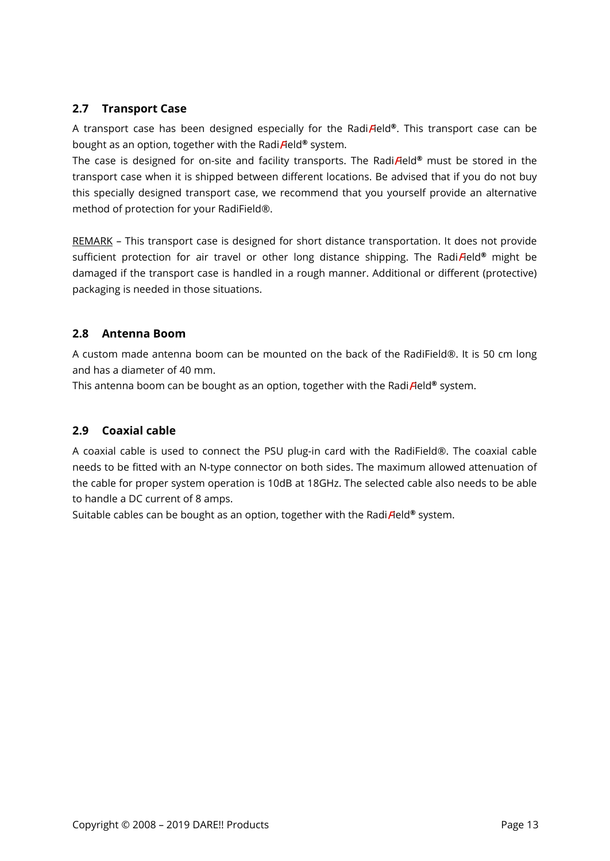# <span id="page-12-0"></span>**2.7 Transport Case**

A transport case has been designed especially for the RadiField**®**. This transport case can be bought as an option, together with the Radi Field<sup>®</sup> system.

The case is designed for on-site and facility transports. The Radi*Field®* must be stored in the transport case when it is shipped between different locations. Be advised that if you do not buy this specially designed transport case, we recommend that you yourself provide an alternative method of protection for your RadiField®.

REMARK – This transport case is designed for short distance transportation. It does not provide sufficient protection for air travel or other long distance shipping. The Radi*Field®* might be damaged if the transport case is handled in a rough manner. Additional or different (protective) packaging is needed in those situations.

#### <span id="page-12-1"></span>**2.8 Antenna Boom**

A custom made antenna boom can be mounted on the back of the RadiField®. It is 50 cm long and has a diameter of 40 mm.

This antenna boom can be bought as an option, together with the RadiField**®** system.

#### <span id="page-12-2"></span>**2.9 Coaxial cable**

A coaxial cable is used to connect the PSU plug-in card with the RadiField®. The coaxial cable needs to be fitted with an N-type connector on both sides. The maximum allowed attenuation of the cable for proper system operation is 10dB at 18GHz. The selected cable also needs to be able to handle a DC current of 8 amps.

Suitable cables can be bought as an option, together with the Radi**Field®** system.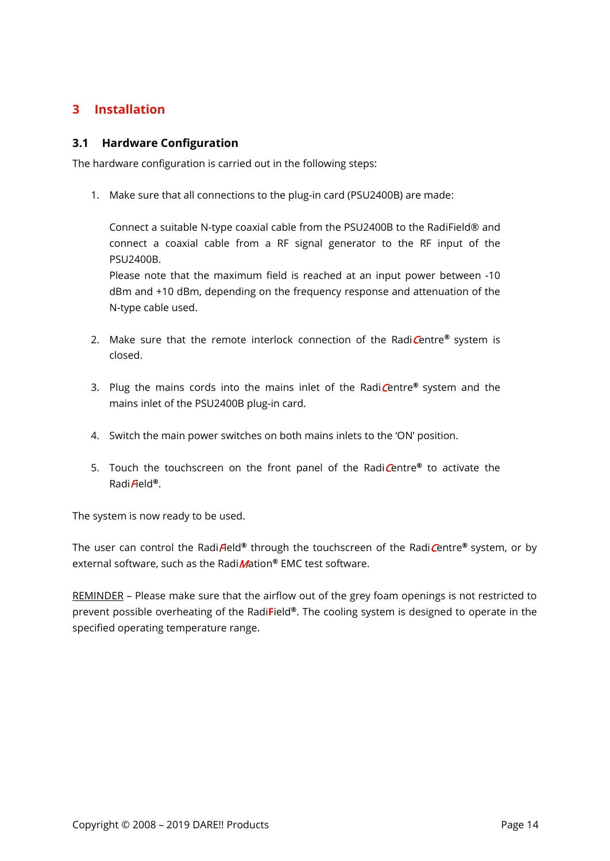# <span id="page-13-0"></span>**3 Installation**

#### <span id="page-13-1"></span>**3.1 Hardware Configuration**

The hardware configuration is carried out in the following steps:

1. Make sure that all connections to the plug-in card (PSU2400B) are made:

Connect a suitable N-type coaxial cable from the PSU2400B to the RadiField® and connect a coaxial cable from a RF signal generator to the RF input of the PSU2400B.

Please note that the maximum field is reached at an input power between -10 dBm and +10 dBm, depending on the frequency response and attenuation of the N-type cable used.

- 2. Make sure that the remote interlock connection of the RadiCentre**®** system is closed.
- 3. Plug the mains cords into the mains inlet of the RadiCentre**®** system and the mains inlet of the PSU2400B plug-in card.
- 4. Switch the main power switches on both mains inlets to the 'ON' position.
- 5. Touch the touchscreen on the front panel of the RadiCentre**®** to activate the RadiField**®**.

The system is now ready to be used.

The user can control the Radi*Field®* through the touchscreen of the Radi*Centre®* system, or by external software, such as the RadiMation**®** EMC test software.

REMINDER - Please make sure that the airflow out of the grey foam openings is not restricted to prevent possible overheating of the Radi**F**ield**®**. The cooling system is designed to operate in the specified operating temperature range.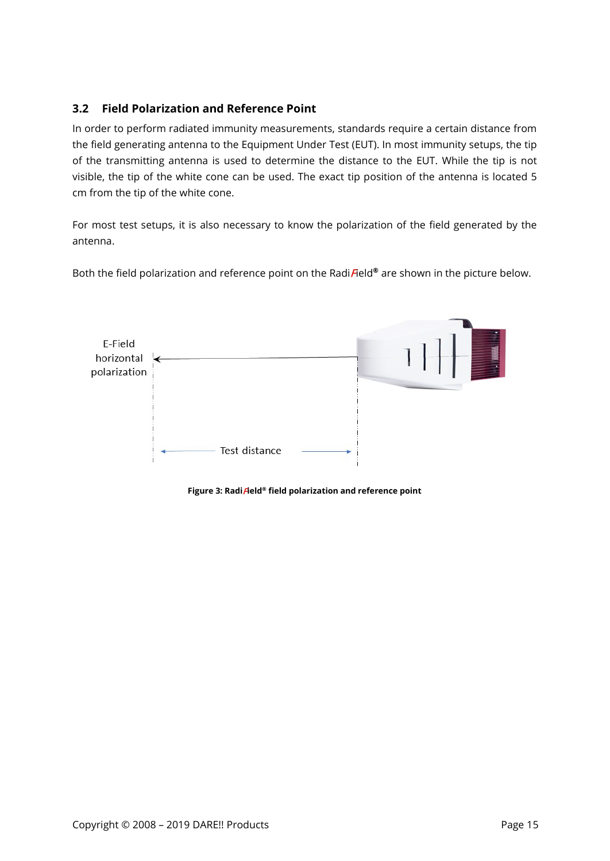# <span id="page-14-0"></span>**3.2 Field Polarization and Reference Point**

In order to perform radiated immunity measurements, standards require a certain distance from the field generating antenna to the Equipment Under Test (EUT). In most immunity setups, the tip of the transmitting antenna is used to determine the distance to the EUT. While the tip is not visible, the tip of the white cone can be used. The exact tip position of the antenna is located 5 cm from the tip of the white cone.

For most test setups, it is also necessary to know the polarization of the field generated by the antenna.

Both the field polarization and reference point on the RadiField**®** are shown in the picture below.



**Figure 3: Radi**F**ield® field polarization and reference point**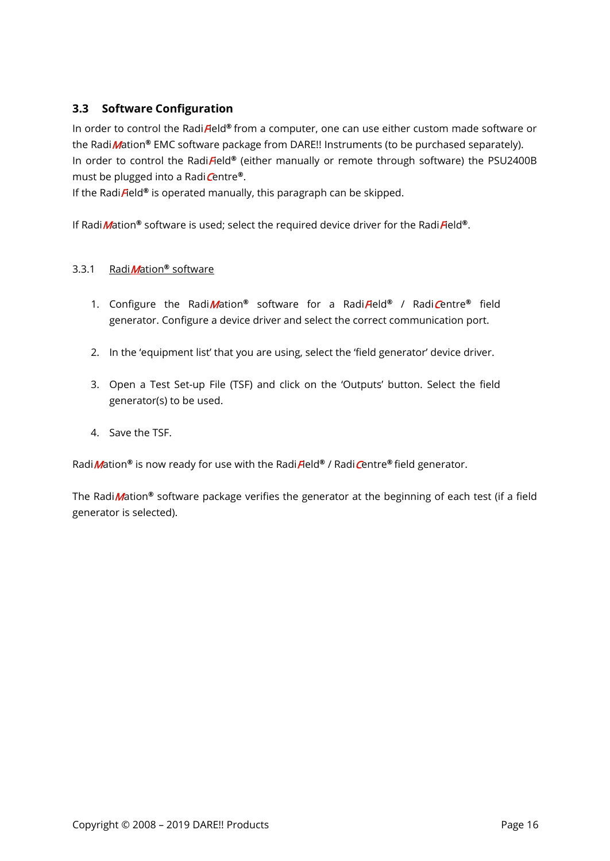# <span id="page-15-0"></span>**3.3 Software Configuration**

In order to control the RadiField**®** from a computer, one can use either custom made software or the RadiMation**®** EMC software package from DARE!! Instruments (to be purchased separately). In order to control the RadiField**®** (either manually or remote through software) the PSU2400B must be plugged into a RadiCentre**®**.

If the Radi*Field<sup>®</sup>* is operated manually, this paragraph can be skipped.

If Radi *M*ation<sup>®</sup> software is used; select the required device driver for the Radi Field<sup>®</sup>.

#### 3.3.1 RadiMation**®** software

- 1. Configure the RadiMation**®** software for a RadiField**®** / RadiCentre**®** field generator. Configure a device driver and select the correct communication port.
- 2. In the 'equipment list' that you are using, select the 'field generator' device driver.
- 3. Open a Test Set-up File (TSF) and click on the 'Outputs' button. Select the field generator(s) to be used.
- 4. Save the TSF.

Radi *M*ation<sup>®</sup> is now ready for use with the Radi Field<sup>®</sup> / Radi Centre<sup>®</sup> field generator.

The RadiMation**®** software package verifies the generator at the beginning of each test (if a field generator is selected).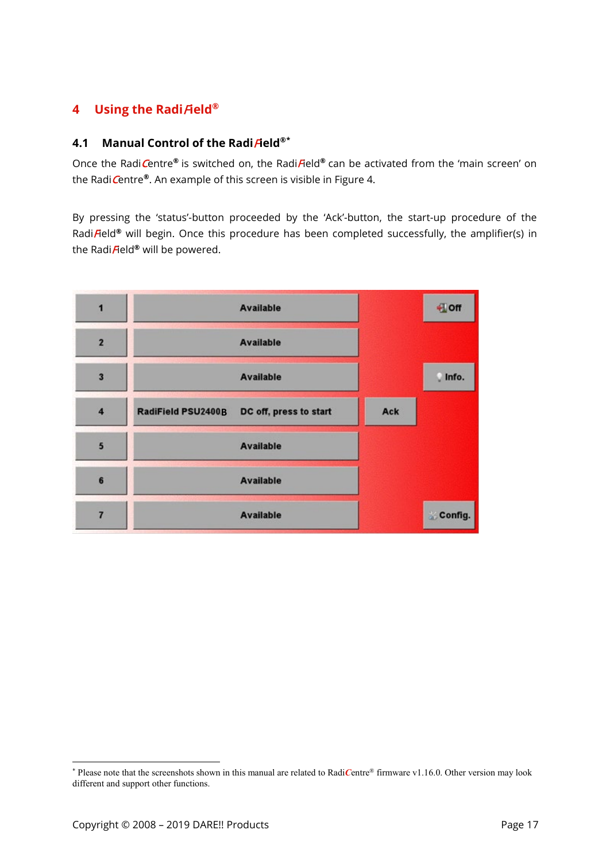# <span id="page-16-0"></span>**4 Using the Radi**Field®

#### <span id="page-16-1"></span>**4.1 Manual Control of the Radi**F**ield®[\\*](#page-16-3)**

Once the RadiCentre® is switched on, the RadiAeld® can be activated from the 'main screen' on the RadiCentre**®**. An example of this screen is visible in [Figure 4.](#page-16-2)

By pressing the 'status'-button proceeded by the 'Ack'-button, the start-up procedure of the Radi*Field<sup>®</sup>* will begin. Once this procedure has been completed successfully, the amplifier(s) in the Radi Field<sup>®</sup> will be powered.

<span id="page-16-2"></span>

<span id="page-16-3"></span> <sup>\*</sup> Please note that the screenshots shown in this manual are related to Radi*C*entre® firmware v1.16.0. Other version may look different and support other functions.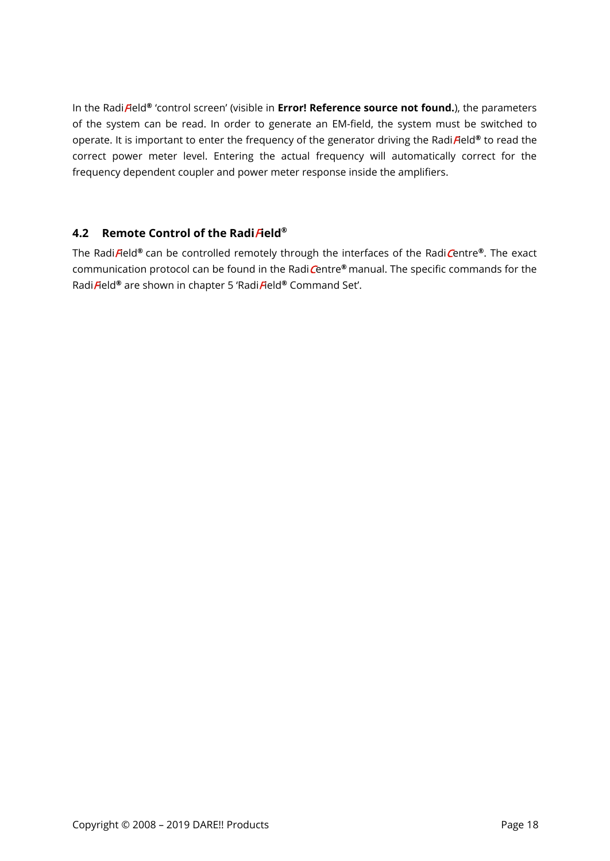In the RadiField**®** 'control screen' (visible in **Error! Reference source not found.**), the parameters of the system can be read. In order to generate an EM-field, the system must be switched to operate. It is important to enter the frequency of the generator driving the RadiField**®** to read the correct power meter level. Entering the actual frequency will automatically correct for the frequency dependent coupler and power meter response inside the amplifiers.

#### <span id="page-17-0"></span>**4.2 Remote Control of the Radi**F**ield®**

The RadiField**®** can be controlled remotely through the interfaces of the RadiCentre**®**. The exact communication protocol can be found in the RadiCentre**®** manual. The specific commands for the RadiField**®** are shown in chapter 5 'RadiField**®** Command Set'.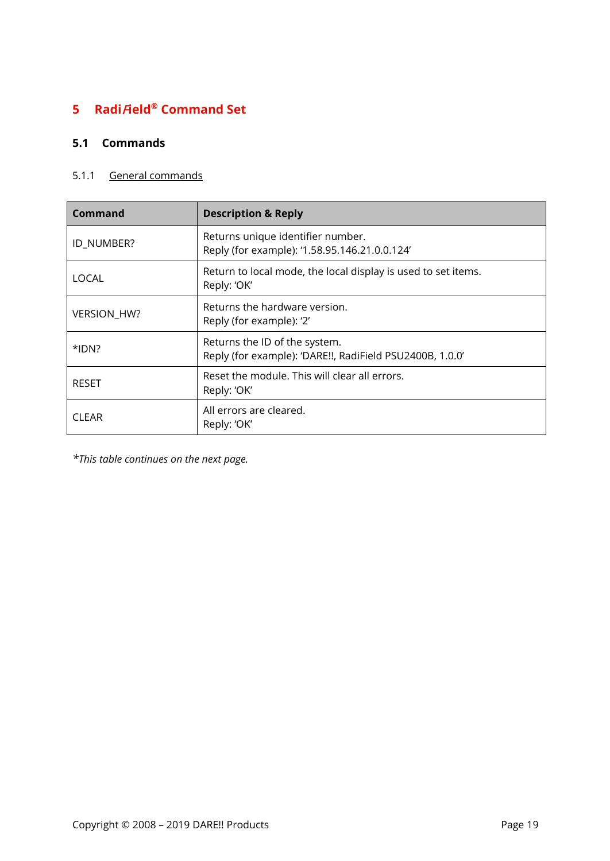# <span id="page-18-0"></span>**5 Radi**F**ield® Command Set**

# <span id="page-18-1"></span>**5.1 Commands**

#### 5.1.1 General commands

| Command            | <b>Description &amp; Reply</b>                                                            |
|--------------------|-------------------------------------------------------------------------------------------|
| ID NUMBER?         | Returns unique identifier number.<br>Reply (for example): '1.58.95.146.21.0.0.124'        |
| <b>LOCAL</b>       | Return to local mode, the local display is used to set items.<br>Reply: 'OK'              |
| <b>VERSION HW?</b> | Returns the hardware version.<br>Reply (for example): '2'                                 |
| *IDN?              | Returns the ID of the system.<br>Reply (for example): 'DARE!!, RadiField PSU2400B, 1.0.0' |
| <b>RESET</b>       | Reset the module. This will clear all errors.<br>Reply: 'OK'                              |
| <b>CLEAR</b>       | All errors are cleared.<br>Reply: 'OK'                                                    |

*\*This table continues on the next page.*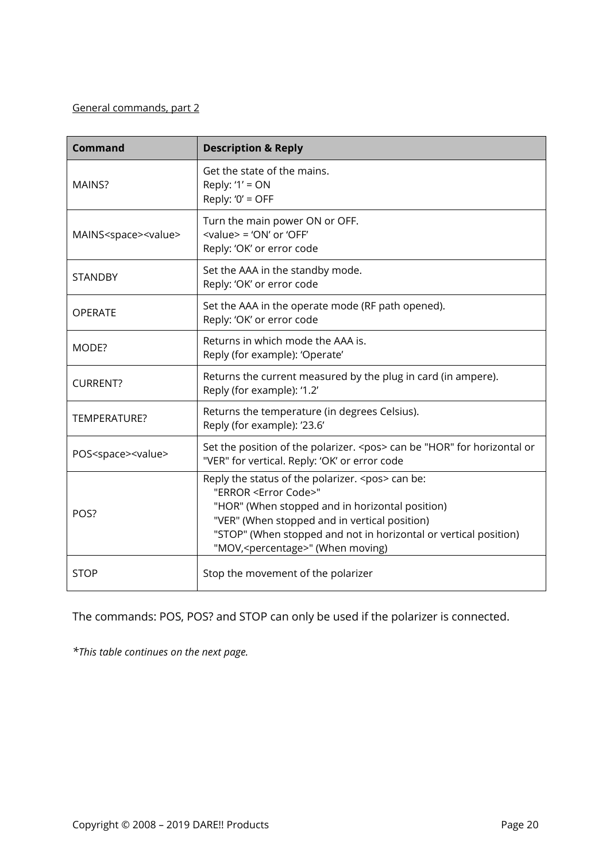# General commands, part 2

| <b>Command</b>                       | <b>Description &amp; Reply</b>                                                                                                                                                                                                                                                                                     |
|--------------------------------------|--------------------------------------------------------------------------------------------------------------------------------------------------------------------------------------------------------------------------------------------------------------------------------------------------------------------|
| MAINS?                               | Get the state of the mains.<br>Reply: $1' = ON$<br>Reply: $'0' =$ OFF                                                                                                                                                                                                                                              |
| MAINS <space><value></value></space> | Turn the main power ON or OFF.<br>$\le$ value> = 'ON' or 'OFF'<br>Reply: 'OK' or error code                                                                                                                                                                                                                        |
| <b>STANDBY</b>                       | Set the AAA in the standby mode.<br>Reply: 'OK' or error code                                                                                                                                                                                                                                                      |
| <b>OPERATE</b>                       | Set the AAA in the operate mode (RF path opened).<br>Reply: 'OK' or error code                                                                                                                                                                                                                                     |
| MODE?                                | Returns in which mode the AAA is.<br>Reply (for example): 'Operate'                                                                                                                                                                                                                                                |
| <b>CURRENT?</b>                      | Returns the current measured by the plug in card (in ampere).<br>Reply (for example): '1.2'                                                                                                                                                                                                                        |
| TEMPERATURE?                         | Returns the temperature (in degrees Celsius).<br>Reply (for example): '23.6'                                                                                                                                                                                                                                       |
| POS <space><value></value></space>   | Set the position of the polarizer. < pos> can be "HOR" for horizontal or<br>"VER" for vertical. Reply: 'OK' or error code                                                                                                                                                                                          |
| POS?                                 | Reply the status of the polarizer. <pos> can be:<br/>"ERROR <error code="">"<br/>"HOR" (When stopped and in horizontal position)<br/>"VER" (When stopped and in vertical position)<br/>"STOP" (When stopped and not in horizontal or vertical position)<br/>"MOV, &lt; percentage&gt;" (When moving)</error></pos> |
| <b>STOP</b>                          | Stop the movement of the polarizer                                                                                                                                                                                                                                                                                 |

The commands: POS, POS? and STOP can only be used if the polarizer is connected.

*\*This table continues on the next page.*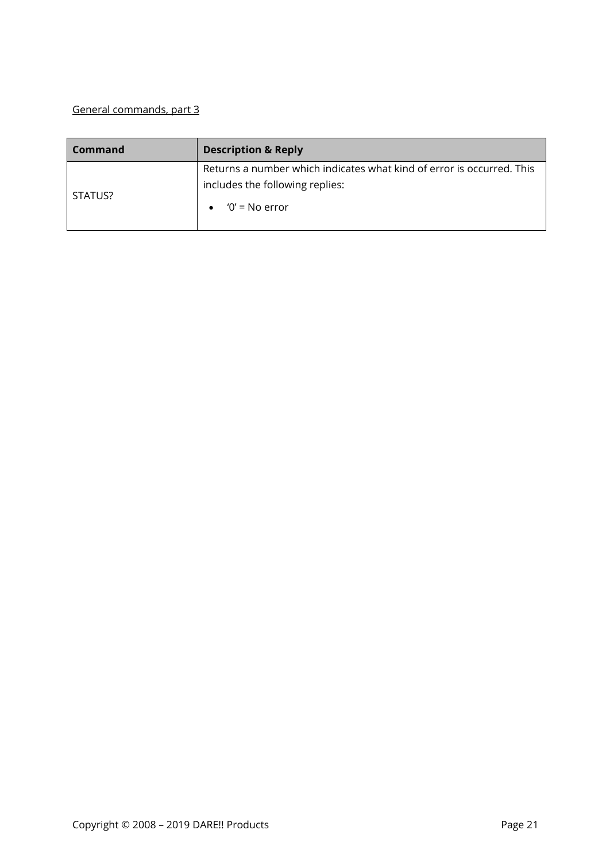# General commands, part 3

| <b>Command</b> | <b>Description &amp; Reply</b>                                                                                               |  |  |  |
|----------------|------------------------------------------------------------------------------------------------------------------------------|--|--|--|
| STATUS?        | Returns a number which indicates what kind of error is occurred. This<br>includes the following replies:<br>'0' = $No error$ |  |  |  |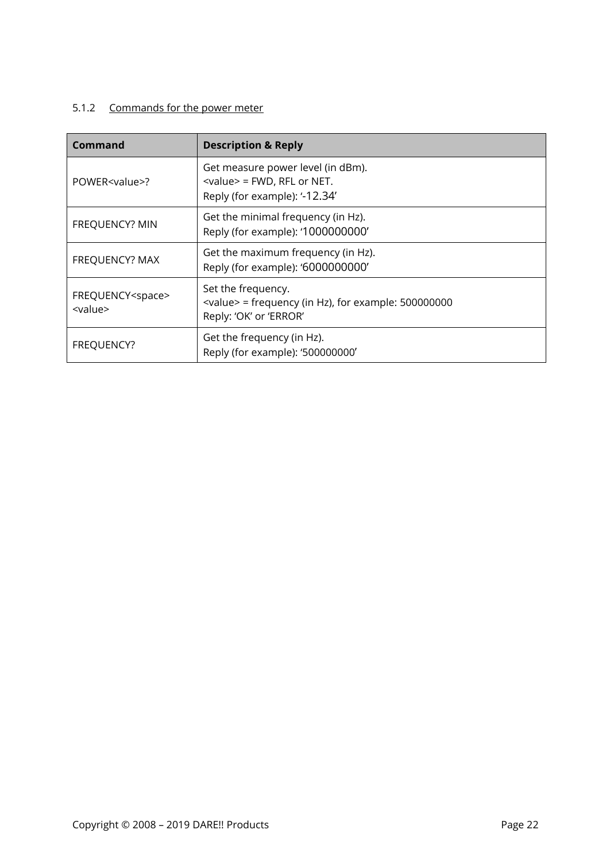# 5.1.2 Commands for the power meter

| Command                                                               | <b>Description &amp; Reply</b>                                                                                        |
|-----------------------------------------------------------------------|-----------------------------------------------------------------------------------------------------------------------|
| POWER <value>?</value>                                                | Get measure power level (in dBm).<br><value> = FWD, RFL or NET.<br/>Reply (for example): '-12.34'</value>             |
| <b>FREQUENCY? MIN</b>                                                 | Get the minimal frequency (in Hz).<br>Reply (for example): '1000000000'                                               |
| <b>FREQUENCY? MAX</b>                                                 | Get the maximum frequency (in Hz).<br>Reply (for example): '6000000000'                                               |
| FREQUENCY <space><br/><math>&lt;</math>value<math>&gt;</math></space> | Set the frequency.<br>$\alpha$ <value> = frequency (in Hz), for example: 500000000<br/>Reply: 'OK' or 'ERROR'</value> |
| FREQUENCY?                                                            | Get the frequency (in Hz).<br>Reply (for example): '500000000'                                                        |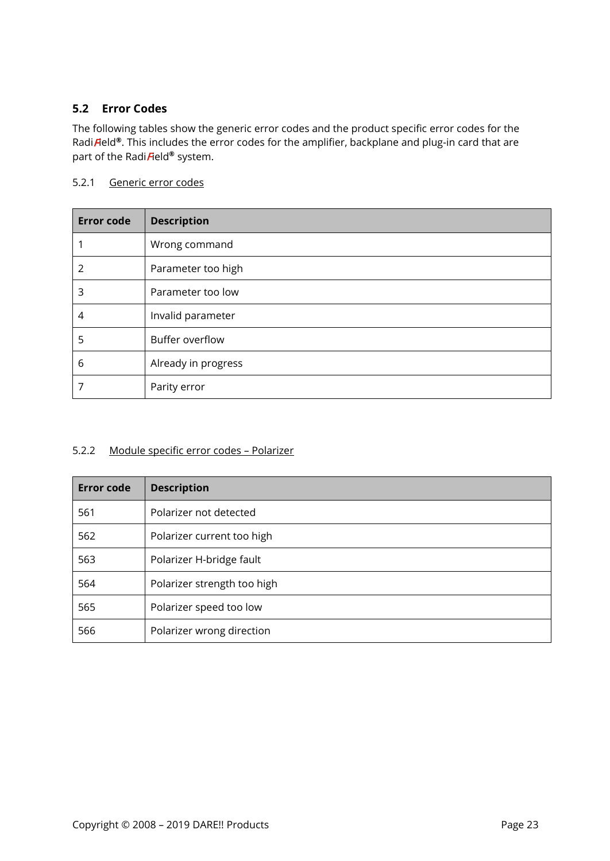# <span id="page-22-0"></span>**5.2 Error Codes**

The following tables show the generic error codes and the product specific error codes for the RadiField**®**. This includes the error codes for the amplifier, backplane and plug-in card that are part of the Radi**Field®** system.

#### 5.2.1 Generic error codes

| <b>Error code</b> | <b>Description</b>  |
|-------------------|---------------------|
|                   | Wrong command       |
| 2                 | Parameter too high  |
| 3                 | Parameter too low   |
| 4                 | Invalid parameter   |
| 5                 | Buffer overflow     |
| 6                 | Already in progress |
| 7                 | Parity error        |

#### 5.2.2 Module specific error codes – Polarizer

| <b>Error code</b> | <b>Description</b>          |
|-------------------|-----------------------------|
| 561               | Polarizer not detected      |
| 562               | Polarizer current too high  |
| 563               | Polarizer H-bridge fault    |
| 564               | Polarizer strength too high |
| 565               | Polarizer speed too low     |
| 566               | Polarizer wrong direction   |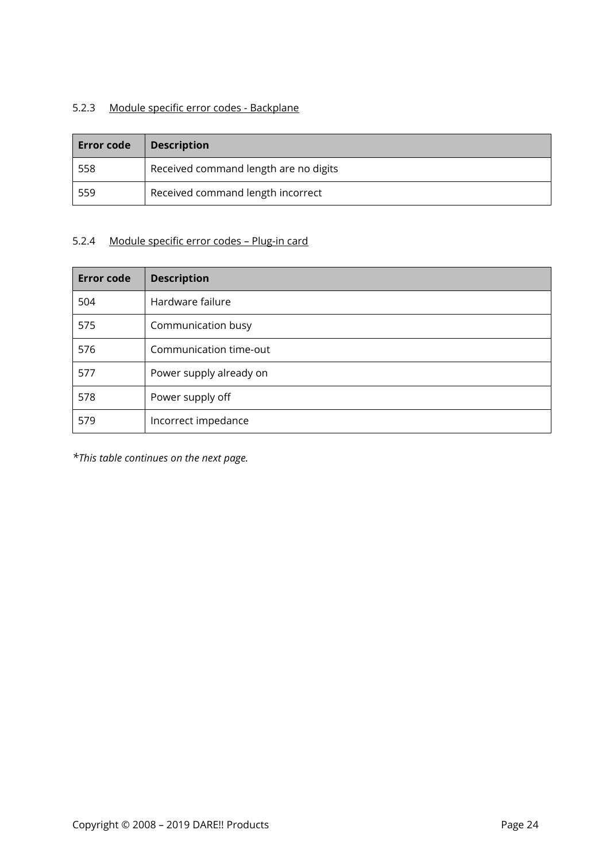# 5.2.3 Module specific error codes - Backplane

| <b>Error code</b> | <b>Description</b>                    |
|-------------------|---------------------------------------|
| 558               | Received command length are no digits |
| 559               | Received command length incorrect     |

# 5.2.4 Module specific error codes – Plug-in card

| <b>Error code</b> | <b>Description</b>      |
|-------------------|-------------------------|
| 504               | Hardware failure        |
| 575               | Communication busy      |
| 576               | Communication time-out  |
| 577               | Power supply already on |
| 578               | Power supply off        |
| 579               | Incorrect impedance     |

*\*This table continues on the next page.*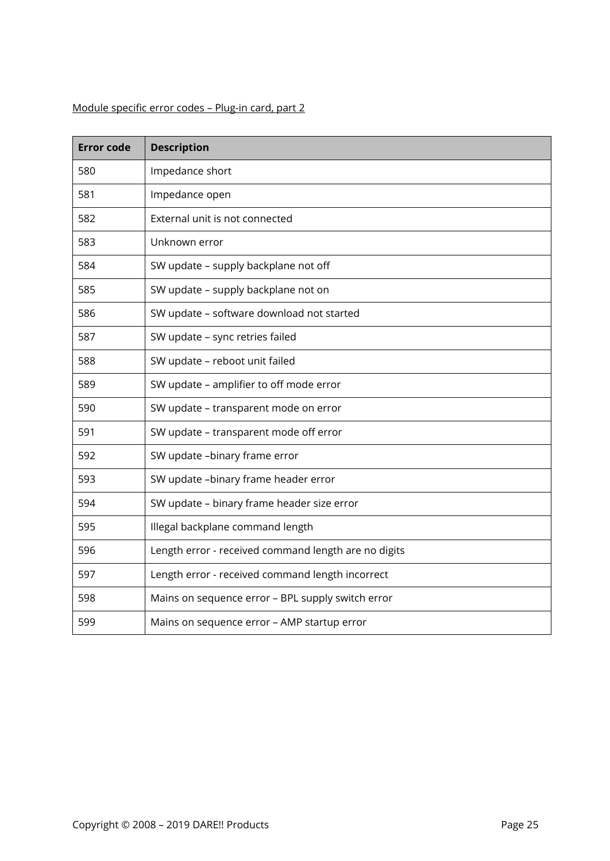# Module specific error codes – Plug-in card, part 2

| <b>Error code</b> | <b>Description</b>                                   |
|-------------------|------------------------------------------------------|
| 580               | Impedance short                                      |
| 581               | Impedance open                                       |
| 582               | External unit is not connected                       |
| 583               | Unknown error                                        |
| 584               | SW update - supply backplane not off                 |
| 585               | SW update - supply backplane not on                  |
| 586               | SW update - software download not started            |
| 587               | SW update - sync retries failed                      |
| 588               | SW update - reboot unit failed                       |
| 589               | SW update - amplifier to off mode error              |
| 590               | SW update - transparent mode on error                |
| 591               | SW update - transparent mode off error               |
| 592               | SW update -binary frame error                        |
| 593               | SW update -binary frame header error                 |
| 594               | SW update - binary frame header size error           |
| 595               | Illegal backplane command length                     |
| 596               | Length error - received command length are no digits |
| 597               | Length error - received command length incorrect     |
| 598               | Mains on sequence error - BPL supply switch error    |
| 599               | Mains on sequence error - AMP startup error          |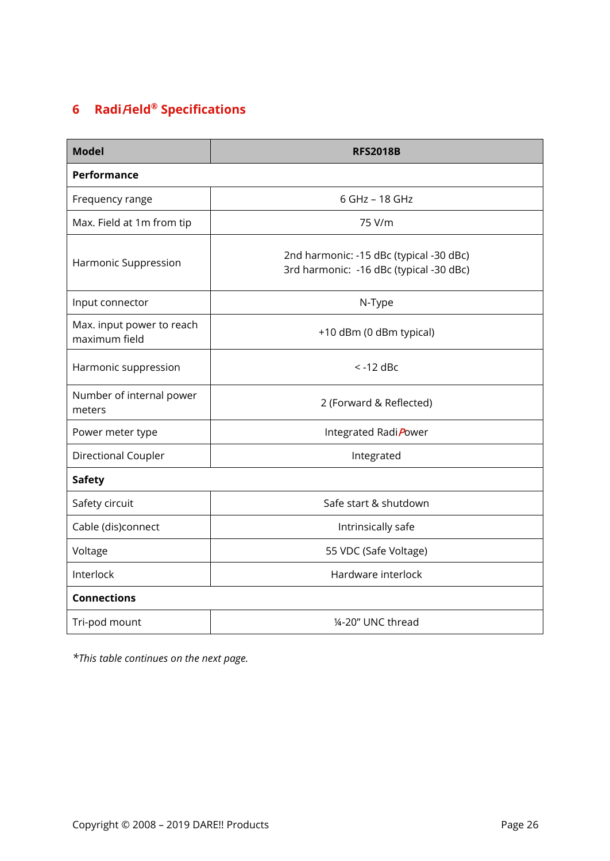# <span id="page-25-0"></span>**6 Radi**F**ield® Specifications**

| <b>Model</b>                               | <b>RFS2018B</b>                                                                    |  |  |
|--------------------------------------------|------------------------------------------------------------------------------------|--|--|
| Performance                                |                                                                                    |  |  |
| Frequency range                            | 6 GHz - 18 GHz                                                                     |  |  |
| Max. Field at 1m from tip                  | 75 V/m                                                                             |  |  |
| Harmonic Suppression                       | 2nd harmonic: -15 dBc (typical -30 dBc)<br>3rd harmonic: -16 dBc (typical -30 dBc) |  |  |
| Input connector                            | N-Type                                                                             |  |  |
| Max. input power to reach<br>maximum field | +10 dBm (0 dBm typical)                                                            |  |  |
| Harmonic suppression                       | $\le$ -12 dBc                                                                      |  |  |
| Number of internal power<br>meters         | 2 (Forward & Reflected)                                                            |  |  |
| Power meter type                           | Integrated RadiPower                                                               |  |  |
| Directional Coupler                        | Integrated                                                                         |  |  |
| <b>Safety</b>                              |                                                                                    |  |  |
| Safety circuit                             | Safe start & shutdown                                                              |  |  |
| Cable (dis)connect                         | Intrinsically safe                                                                 |  |  |
| Voltage                                    | 55 VDC (Safe Voltage)                                                              |  |  |
| Interlock                                  | Hardware interlock                                                                 |  |  |
| <b>Connections</b>                         |                                                                                    |  |  |
| Tri-pod mount                              | 1/4-20" UNC thread                                                                 |  |  |

*\*This table continues on the next page.*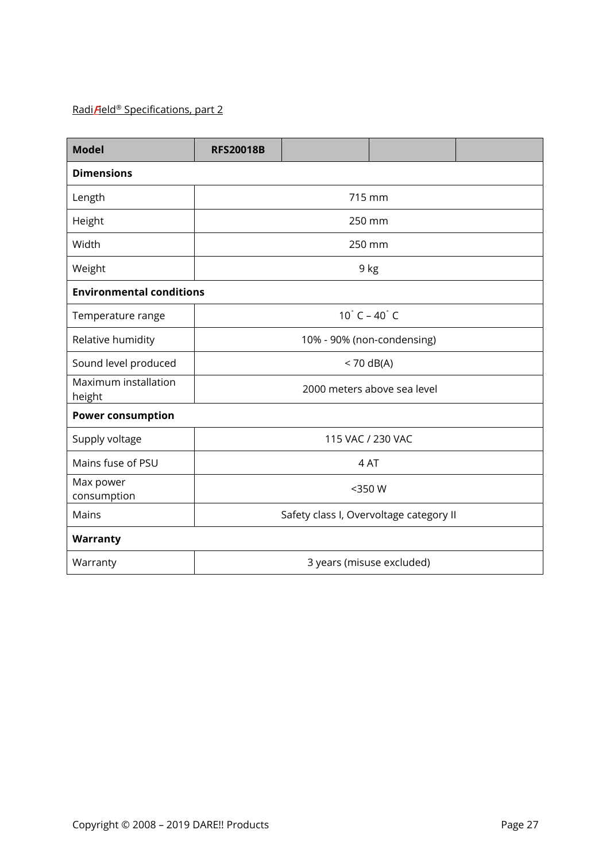# Radi*Field®* Specifications, part 2

| <b>Model</b>                        | <b>RFS20018B</b>                        |        |  |  |  |
|-------------------------------------|-----------------------------------------|--------|--|--|--|
| <b>Dimensions</b>                   |                                         |        |  |  |  |
| Length                              | 715 mm                                  |        |  |  |  |
| Height                              |                                         | 250 mm |  |  |  |
| Width                               | 250 mm                                  |        |  |  |  |
| Weight                              | 9 kg                                    |        |  |  |  |
| <b>Environmental conditions</b>     |                                         |        |  |  |  |
| Temperature range                   | $10^{\degree}$ C – $40^{\degree}$ C     |        |  |  |  |
| Relative humidity                   | 10% - 90% (non-condensing)              |        |  |  |  |
| Sound level produced                | $<$ 70 dB(A)                            |        |  |  |  |
| Maximum installation<br>height      | 2000 meters above sea level             |        |  |  |  |
| <b>Power consumption</b>            |                                         |        |  |  |  |
| 115 VAC / 230 VAC<br>Supply voltage |                                         |        |  |  |  |
| Mains fuse of PSU                   | 4AT                                     |        |  |  |  |
| Max power<br>consumption            | <350W                                   |        |  |  |  |
| Mains                               | Safety class I, Overvoltage category II |        |  |  |  |
| Warranty                            |                                         |        |  |  |  |
| Warranty                            | 3 years (misuse excluded)               |        |  |  |  |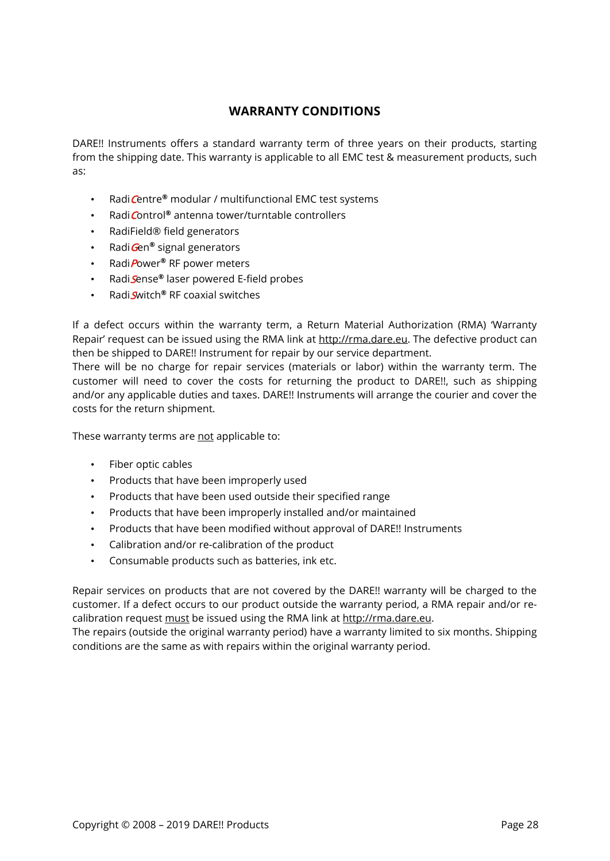### **WARRANTY CONDITIONS**

<span id="page-27-0"></span>DARE!! Instruments offers a standard warranty term of three years on their products, starting from the shipping date. This warranty is applicable to all EMC test & measurement products, such as:

- RadiCentre**®** modular / multifunctional EMC test systems
- RadiControl**®** antenna tower/turntable controllers
- RadiField® field generators
- RadiGen**®** signal generators
- RadiPower**®** RF power meters
- RadiSense**®** laser powered E-field probes
- RadiSwitch**®** RF coaxial switches

If a defect occurs within the warranty term, a Return Material Authorization (RMA) 'Warranty Repair' request can be issued using the RMA link at [http://rma.dare.eu.](http://rma.dare.eu/) The defective product can then be shipped to DARE!! Instrument for repair by our service department.

There will be no charge for repair services (materials or labor) within the warranty term. The customer will need to cover the costs for returning the product to DARE!!, such as shipping and/or any applicable duties and taxes. DARE!! Instruments will arrange the courier and cover the costs for the return shipment.

These warranty terms are not applicable to:

- Fiber optic cables
- Products that have been improperly used
- Products that have been used outside their specified range
- Products that have been improperly installed and/or maintained
- Products that have been modified without approval of DARE!! Instruments
- Calibration and/or re-calibration of the product
- Consumable products such as batteries, ink etc.

Repair services on products that are not covered by the DARE!! warranty will be charged to the customer. If a defect occurs to our product outside the warranty period, a RMA repair and/or recalibration request must be issued using the RMA link at [http://rma.dare.eu.](http://rma.dare.eu/)

The repairs (outside the original warranty period) have a warranty limited to six months. Shipping conditions are the same as with repairs within the original warranty period.